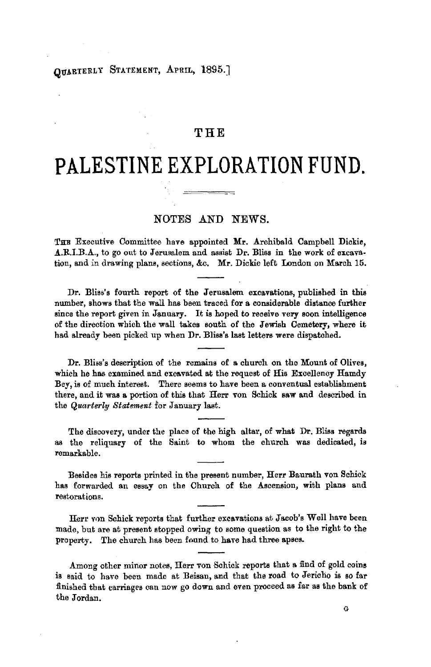# QUARTERLY STATEMENT, APRIL, 1895.]

## **THE**

# **PALESTINE EXPLORATION FUND.**

## NOTES AND NEWS.

THE Executive Committee have appointed Mr. Archibald Campbell Dickie, A.R.I.B.A., to go out to Jerusalem and assist Dr. Bliss in the work of excavation, and in drawing plans, sections, &c. Mr. Dickie left London on March 15.

Dr. Bliss's fourth report of the Jerusalem excavations, published in this number, shows that the wall has been traced for **a** considerable distance further since the report given in January. It is hoped to receive very soon intelligence of the direction which the wall takes south of the Jewish Cemetery, where it had already been picked up when Dr. Bliss's last letters were dispatched.

Dr. Bliss's description of the remains of a church on the Mount of Olives, which he has examined and excavated at the request of His Excellency Hamdy Bey, is of much interest. There seems to have been a conventual establishment there, and it was a portion of this that Herr von Schick saw and described in the *Quarterly Statement* for January last.

The discovery, under the place of the high altar, of what Dr. Bliss regards as the reliquary of the Saint to whom the church was dedicated, is remarkable.

Besides his reports printed in the present number, Herr Baurath von Schick has forwarded an essay on the Church of the Ascension, with plans and restorations.

Herr von Schick reports that further excavations at Jacob's Well have been made, but are at present stopped owing to some question as to the right to the property. The church has been found to have had three apses.

Among other minor notes, Herr von Schick reports that a find of gold coins is said to have been made at Beisan, and that the road to Jericho is so far finished that carriages can now go down and even proceed as far as the bank of the Jordan.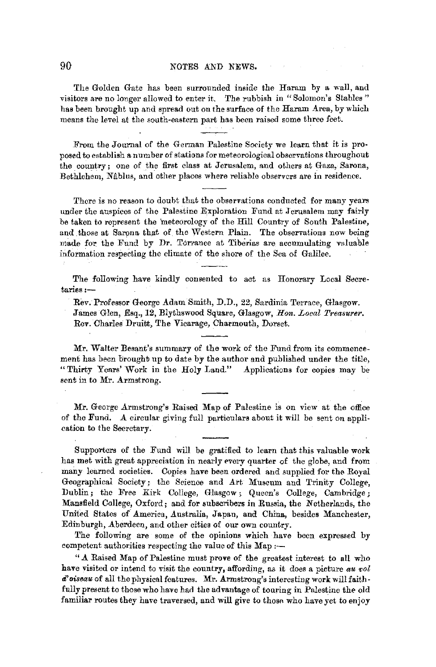#### 90 NOTES AND NEWS.

The Golden Gate has been surrounded inside the Haram by a wall, and visitors are no longer allowed to enter it. The rubbish in "Solomon's Stables" has been brought up and spread out on the surface of the Haram Area, by which means the level at the south-eastern part has been raised some three feet.

From the Journal of the German Palestine Society we learn that it is proposed to establish a number of stations for meteorological observations throughout the country; one of the first class at Jerusalem, and others at Gaza, Sarona, Bethlehem, Nilblus, and other places where reliable observers are in residence.

There is no reason to doubt that the observations conducted for many years under the auspices of the Palestine Exploration Fund at Jerusalem may fairly be taken to represent the meteorology of the Hill Country of South Palestine, and those at Sarona that of the Western Plain. The observations now being made for the Fund by Dr. Torrance at Tiberias are accumulating valuable information respecting the climate of the shore of the Sea of Galilee.

The following have kindly consented to act as Honorary Local Secretaries:-

Rev. Professor George Adam Smith, D.D., 22, Sardinia Terrace, Glasgow. James Glen, Esq., 12, Blythswood Square, Glasgow, *Hon. Local Treasurer.*  Rev. Charles Druitt, The Vicarage, Charmouth, Dorset.

Mr. Walter Besant's summary of the work of the Fund from its commencement has been brought up to date by the author and published under the title, "Thirty Years' Work in the Holy Land." Applications for copies may be sent in to Mr. Armstrong.

Mr. George Armstrong's Raised Map of Palestine is on view at the office of the Fund. A circular giving full particulars about it will be sent on application to the Secretary.

Supporters of the Fund will be gratified to learn that this valuable work has met with great appreciation in nearly every quarter of the globe, and from many learned societies. Copies have been ordered and supplied for the Royal Geographical Society; the Science and Art Museum and Trinity College, Dublin; the Free Kirk College, Glasgow; Queen's College, Cambridge; Mansfield College, Oxford; and for subscribers in Russia, the Netherlands, the United States of America, Australia, Japan, and China, besides Manchester, Edinburgh, Aberdeen, and other cities of our own country.

The following are some of the opinions which have been expressed by competent authorities respecting the value of this  $Map \rightarrow$ 

" A Raised Map of Palestine must prove of the greatest interest to all who have visited or intend to visit the country, affording, as it does a picture *au vol d*'oiseau of all the physical features. Mr. Armstrong's interesting work will faithfully present to those who have had the advantage of touring in Palestine the old familiar routes they have traversed, and will give to those who have yet to enjoy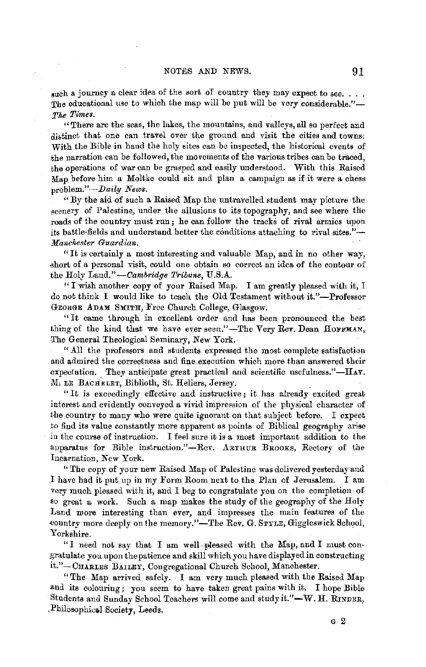such a journey a clear idea of the sort of country they may expect to see. . . . The educational use to which the map will be put will be very considerable."-*T/.e Times.* 

"There are the seas, the lakes, the mountains, and valleys, all so perfect and distinct that one can travel over the ground and visit the cities and towns. With the Bible in hand the holy sites can be inspected, the historical events of the narration can be followed, the movements of the various tribes can be traced, the operations of war can be grasped and easily understood. With this Raised Map before him a Moltke could sit and plan a campaign as if it were a chess problem."-Daily News.

"By the aid of such a Raised Map the untravelled student may picture, the scenery of Palestine, under the allusions to its topography, and see where the roads of the country must run; he can follow the tracks of rival armies upon its battle-fields and understand better the conditions attaching to rival sites."-*Manchester Guardian.* 

"It is certainly a most interesting and valuable Map, and in no other way, short of a personal visit, could one obtain so correct an idea of the contour of the Holy Land."-Cambridge Tribune, U.S.A.

'' I wish another copy of your Raised Map. I am greatly pleased with it, I do not think I would like to teach the Old Testament without it."-Professor GEORGE ADAM SMITH, Free Church College, Glasgow.

" It came through in excellent order and has been pronounced the best thing of the kind that we have ever seen."-The Very Rev. Dean HOFFMAN, The General Theological Seminary, New York.

"All the professors and students expressed the most complete satisfaction and admired the correctness and fine.execution which more than answered their expectation. They anticipate great practical and scientific usefulness." $-H_{AY}$ . M, LE BACHELET, Biblioth, St. Heliers, Jersey.

"It is exceedingly effective and instructive; it has already excited great interest and evidently conveyed a vivid impression of the physical character of the country to many who were quite ignorant on that subject before. I expect to find its value constantly more apparent as points of Biblical geography arise in the course of instruction. I feel sure it is a most important addition to the apparatus for Bible instruction."-Rev. ARTHUR BROOKS, Rectory of the Incarnation, Kew York.

"The copy of your new Raised Map of Palestine was delivered yesterday and l have had it put up in my Form Room next to the Plan of Jerusalem. I am very much pleased with it, and I beg to congratulate you on the completion· 0£ so great a work. Such a map makes the study of the geography of the Holy Land more interesting than ever, and impresses the main features of the country more deeply on the memory."-The Rev. G. STYLE, Giggleswick School, Yorkshire.

"I need not say that I am well-pleased with the Map, and I must congratulate you upon the patience and skill which you have displayed in constructing it."-CHARLES BAILEY, Congregational Church School, Manchester.

"The Map arrived safely. I am very much pleased with the Raised Map and its colouring; you seem to have taken great pains with it. I hope Bible Students and Sunday School Teachers will come and study it." $-\mathbf{W}$ . H. RINDER, Philosophical Society, Leeds.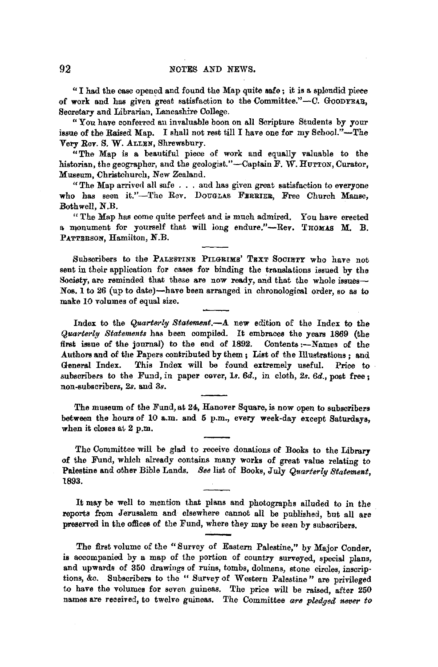"I had the case opened and found the Map quite **safe;** it **is** a splendid pieee of work and has given great satisfaction to the Committee."-C. GooDYEAR, Secretary and Librarian, Lancashire College.

"You have conferred an invaluable boon on all Scripture Students by your issue of the Raised Map. I shall not rest till I have one for my School."-The Very Rev. S. W. ALLEN, Shrewsbury.

"The Map is a beautiful piece of work and equally valuable to the historian, the geographer, and the geologist."-Captain F. W. HUTTON, Curator, Museum, Christchurch, New Zealand.

"The Map arrived all safe . . . and has given great satisfaction to everyone who has seen it."-The Rev. DOUGLAS FERRIER, Free Church Manse, Bothwell, N.B.

"The Map has come quite perfect and is much admired. You have erected a monument for vourself that will long endure."-Rev. THOMAS M. B. PATTRESON, Hamilton, N.B.

Subscribers to the PALESTINE PILGRIMS' TEXT SOCIETY who have not sent in their application for cases for binding the translations issued by the Society, are reminded that these are now ready, and that the whole issues-Nos. 1 to 26 (up to date)-have been arranged in chronological order, so as to make 10 volumes of equal size.

Index to the *Quarterl9 Statement.-A.* new edition of the Index to the *Quarterly Statements* has been compiled. It embraces the years 1869 (the first issue of the journal) to the end of 1892. Contents :- Names of the .Authors and of the Papers contributed by them; List of the Illustrations; and General Index. This Index will be found extremely useful. Price to subscribers to the Fund, in paper cover, 1s. 6d., in cloth, 2s. 6d., post free; non-subscribers, *2s.* and *3s.* 

The museum of the Fund, at 24, Hanover Square, is now open to subscribers between the hours of 10 a.m. and 5 p.m., every week-day except Saturdays. when it closes at  $2$  p.m.

The Committee will be glad to receive donations of Books to the Library of the Fund, which already contains many works of great value relating to Palestine and other Bible Lands. *See* list of Books, July *Quarterly Statement,*  1893.

It may be well to mention that plans and photographs alluded to in the reports from Jerusalem and elsewhere cannot all be published, but all are preserved in the offices of the Fund, where they may be seen by subscribers.

The first volume of the "Survey of Eastern Palestine," by Major Conder, **is** accompanied by a map of the portion of country surveyed, special plans, and upwards of 350 drawings of ruins, tombs, dolmens, stone circles, inscriptions, &c. Subscribers to the " Survey of Western Palestine" are privileged to have the volumes for seven guineas. The price will be raised, after 250 names are received, to twelve guineas. The Committee *are pledged never* to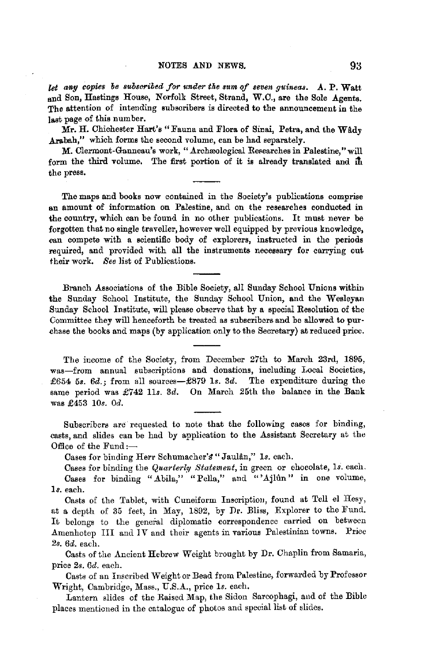*let ang copies be subsCf'ibed for under the sum of seven guineas.* .A. P. Watt and Son, Hastings House, Norfolk Street, Strand, W.C., are the Sole Agents. The attention of intending subscribers is directed to the announcement in the last page of this number.

Mr. H. Chichester Hart's "Fauna and Flora of Sinai, Petra, and the Wady Arabah," which forms the second volume, can be had separately.

**M. Clermont-Ganneau's work, "Archæolcgical Researches in Palestine," will** form the third volume. The first portion of it is already translated and in the press.

The maps and books now contained in the Society's publications comprise an amount of information on Palestine, and on the researches conducted in the country, which can be found in no other publications. It must never be forgotten that no single traveller, however well equipped by previous knowledge, can compete with a scientific body of explorers, instructed in the periods required, and provided with all the instruments necessary for carrying out their work. *See* list of Publications.

Branch Associations of the Bible Society, all Sunday School Unions within the Sunday School Institute, the Sunday School Union, and the Wesleyan Sunday School Institute, will please observe that by a special Resolution of the Committee they will henceforth be treated as subscribers and be allowed to pur· chase the books and maps (by application only to the Secretary) at reduced price.

The income of the Society, from December 27th to March 23rd, 1895, was-from annual subscriptions and donations, including Local Societies, £654 5s. 6d.; from all sources-£879 1s. 3d. The expenditure during the same period was  $£742$  11s. 3d. On March 25th the balance in the Bank was £453 *10s. Od.* 

Subscribers are requested. to note that the following cases for binding, casts, and slides can be had by application to the Assistant Secretary at the Office of the Fund :-

Cases for binding Herr Schumacher's "Jaulân," 1s. each.

Cases for binding the *Quarterly Statement,* in green or chocolate, *ls.* each. Cases for binding "Abila," "Pella," and "'Ajlun" in one volume, ls. each.

Casts of the Tablet, with Cuneiform Inscription, found at Tell el Hesy, at a depth of 35 feet, in May, 1892, by Dr. Bliss, Explorer to the Fund. It belongs to the general diplomatic correspondence carried on between Amenhotep III and IV and their agents in various Palestinian towns. Price *2s. 6d.* each.

Casts of the Ancient Hebrew Weight brought by Dr. Chaplin from Samaria, price *2s. 6d.* each.

Casts of an Inscribed Weight or Bead from Palestine, forwarded by Professor Wright, Cambridge, Mass., U.S.A., price ls. each.

Lantern slides of the Raised Map, the Sidon Sarcophagi, and of the Bible places mentioned in the catalogue of photos and special list of slides.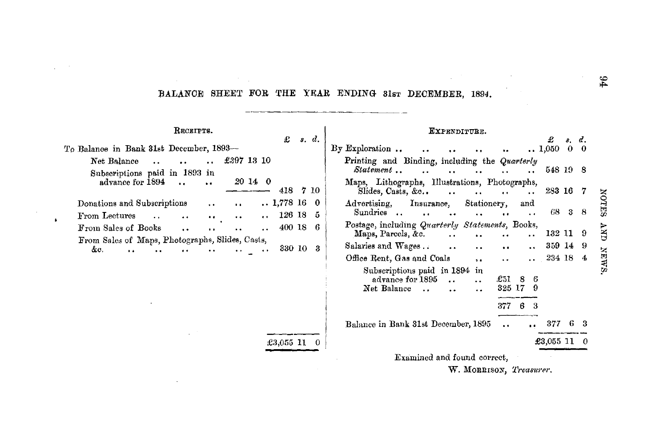### BALANCE SHEET FOR THE YEAR ENDING 31sT DECEMBER, 1894.

RECEIPTS. EXPENDITURE. £ *s.* d. £ *8.* <1. To Balance in Bank 31st December, 1893- By Exploration ..  $1,050$  $\ddot{\phantom{a}}$  $\ddot{\phantom{a}}$ Net Balance ... .. .. £397 13 10 Printing and Binding, including the *Quarterly Statement* , , , , , , , 548 19 8 Subscriptions paid in 1893 in advance for 1894 *20* 14 0 Maps, Lithographs, Illustrations, Photographs,  $\ddot{\phantom{a}}$  $\ddot{\phantom{a}}$ 418 7 10 Slides, Casts, &c.. . . . . . . . 283 16 7 **NOTES** Donations and Subscriptions 1,778 16 0 Advertising, Insurance, Stationery, and  $\ddot{\phantom{a}}$ Sundries .. 68 3 8 From Lectures 126 18 5  $\ddot{\phantom{a}}$  $\ddot{\phantom{a}}$  $\ddot{\phantom{a}}$  $\ddot{\phantom{a}}$  $\ddot{\phantom{a}}$  $\bullet$   $\bullet$ Postage, including *Quarterly Statements,* Books,  $\sum_{i=1}^{n}$ From Sales of Books 400 18 6  $\ddot{\phantom{a}}$  $\ddot{\phantom{a}}$  $\ddot{\phantom{a}}$  $\ddot{\phantom{a}}$ 132 11 9 Maps, Parcels, &c.  $\ddot{\phantom{a}}$ ٠.  $\ddot{\phantom{1}}$ From Sales of Maps, Photographs, Slides, Casts, Salaries and Wages .. 359 14 9 330 10 3 &c.  $\ddot{\phantom{a}}$  $\ddot{\phantom{a}}$  $\ddot{\phantom{a}}$  $\ddot{\phantom{a}}$ **NEWS** Office Rent, Gas and Coals 234 18 4  $\ddot{\phantom{a}}$  $\ddot{\phantom{1}}$  $\ddot{\phantom{0}}$ Subscriptions paid in 1894 in advance for 1895 ... .. £51 8 6<br>et Balance ... ... .. 325 17 9 Net Balance .. .. .. 377 6 Balance in Bank 31st December, 1895 ... 377 6 3 £3,055 11 0 £3,055 11 0 Examined and found correct, W. MORRISON, *'L'reasurer.* 

 $\Delta$ 

 $\sharp \mathfrak{c}$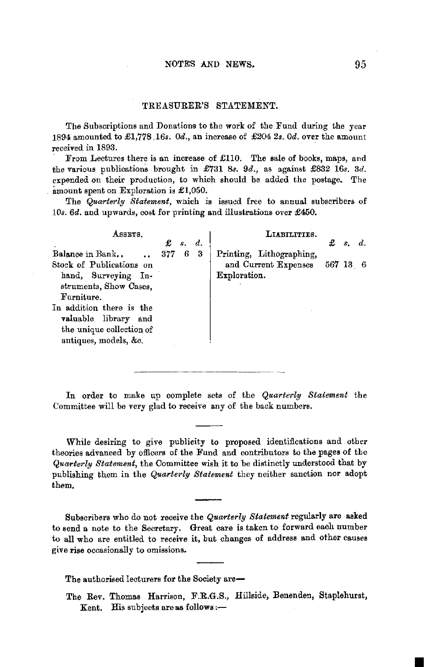#### TREASURER'S STATEMENT.

The Subscriptions and Donations to the work of the Fund during the year 1894 amounted to £1,778.16s. *0d.,* an increase of £204 *2s. 0d.* over the amount received in 1893.

From Lectures there is an increase of  $£110$ . The sale of books, maps, and the various publications brought in £731 *8s.* 9d., as against £832 16s. *3d.*  expended on their production, to which should be added the postage. The amount spent on Exploration is £1,050.

The *Quarterly Statement,* wnich is issued free to annual subscribers of *10s. 6d.* and upwards, cost for printing and illustrations over £450.

| ASSETS.                                                                                                                                                                                                                | £   | $\mathcal{S}_{-}$ | d. | LIARILITIES.                                                     | £        | s. | d. |
|------------------------------------------------------------------------------------------------------------------------------------------------------------------------------------------------------------------------|-----|-------------------|----|------------------------------------------------------------------|----------|----|----|
| Balance in Bank<br>Stock of Publications on<br>hand, Surveying In-<br>struments, Show Cases,<br>Furniture.<br>In addition there is the<br>valuable library<br>and<br>the unique collection of<br>antiques, models, &c. | 377 | -6                | 3  | Printing, Lithographing,<br>and Current Expenses<br>Exploration. | 567 13 6 |    |    |

In order to make up complete sets of the *Quarterly Statement* the Committee will be very glad to receive any of the back numbers.

While desiring to give publicity to proposed identifications and other theories advanced by officers of the Fund and contributors to the pages of the *Quarterly Statement,* the Committee wish it to be distinctly understood that by publishing them in the *Quarterly Statement* they neither sanction nor adopt them.

Subscribers who do not receive the *Quarterly Statement* regularly are asked to send a note to the Secretary. Great care is taken to forward each number to all who are entitled to receive it, but changes of address and other causes give rise occasionally to omissions.

The authorised lecturers for the Society are-

The Rev. Thomas Harrison, F.R.G.S., Hillside, Benenden, Staplehurst, Kent. His subjects are as follows: $-$ 

■